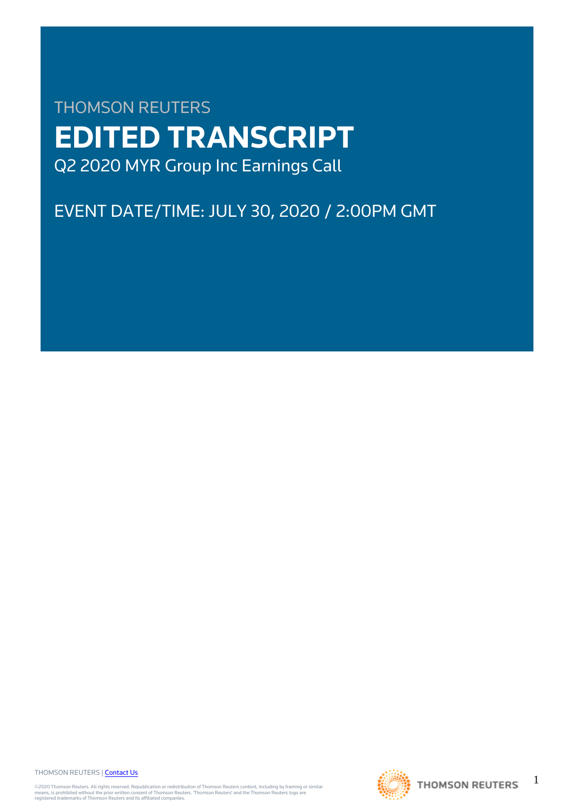# THOMSON REUTERS **EDITED TRANSCRIPT** Q2 2020 MYR Group Inc Earnings Call

# EVENT DATE/TIME: JULY 30, 2020 / 2:00PM GMT

THOMSON REUTERS | [Contact Us](https://my.thomsonreuters.com/ContactUsNew)

©2020 Thomson Reuters. All rights reserved. Republication or redistribution of Thomson Reuters content, including by framing or similar<br>means, is prohibited without the prior written consent of Thomson Reuters. 'Thomson Re



1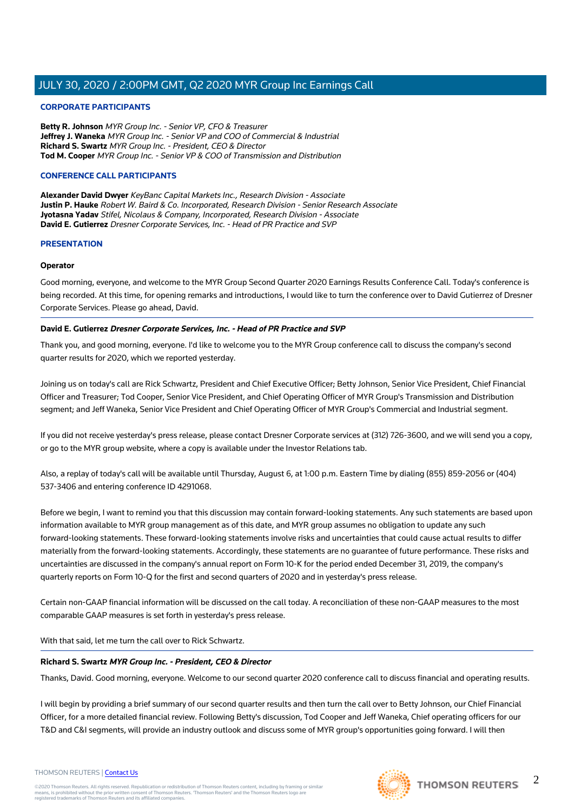# **CORPORATE PARTICIPANTS**

**Betty R. Johnson** MYR Group Inc. - Senior VP, CFO & Treasurer **Jeffrey J. Waneka** MYR Group Inc. - Senior VP and COO of Commercial & Industrial **Richard S. Swartz** MYR Group Inc. - President, CEO & Director **Tod M. Cooper** MYR Group Inc. - Senior VP & COO of Transmission and Distribution

# **CONFERENCE CALL PARTICIPANTS**

**Alexander David Dwyer** KeyBanc Capital Markets Inc., Research Division - Associate **Justin P. Hauke** Robert W. Baird & Co. Incorporated, Research Division - Senior Research Associate **Jyotasna Yadav** Stifel, Nicolaus & Company, Incorporated, Research Division - Associate **David E. Gutierrez** Dresner Corporate Services, Inc. - Head of PR Practice and SVP

# **PRESENTATION**

# **Operator**

Good morning, everyone, and welcome to the MYR Group Second Quarter 2020 Earnings Results Conference Call. Today's conference is being recorded. At this time, for opening remarks and introductions, I would like to turn the conference over to David Gutierrez of Dresner Corporate Services. Please go ahead, David.

# **David E. Gutierrez Dresner Corporate Services, Inc. - Head of PR Practice and SVP**

Thank you, and good morning, everyone. I'd like to welcome you to the MYR Group conference call to discuss the company's second quarter results for 2020, which we reported yesterday.

Joining us on today's call are Rick Schwartz, President and Chief Executive Officer; Betty Johnson, Senior Vice President, Chief Financial Officer and Treasurer; Tod Cooper, Senior Vice President, and Chief Operating Officer of MYR Group's Transmission and Distribution segment; and Jeff Waneka, Senior Vice President and Chief Operating Officer of MYR Group's Commercial and Industrial segment.

If you did not receive yesterday's press release, please contact Dresner Corporate services at (312) 726-3600, and we will send you a copy, or go to the MYR group website, where a copy is available under the Investor Relations tab.

Also, a replay of today's call will be available until Thursday, August 6, at 1:00 p.m. Eastern Time by dialing (855) 859-2056 or (404) 537-3406 and entering conference ID 4291068.

Before we begin, I want to remind you that this discussion may contain forward-looking statements. Any such statements are based upon information available to MYR group management as of this date, and MYR group assumes no obligation to update any such forward-looking statements. These forward-looking statements involve risks and uncertainties that could cause actual results to differ materially from the forward-looking statements. Accordingly, these statements are no guarantee of future performance. These risks and uncertainties are discussed in the company's annual report on Form 10-K for the period ended December 31, 2019, the company's quarterly reports on Form 10-Q for the first and second quarters of 2020 and in yesterday's press release.

Certain non-GAAP financial information will be discussed on the call today. A reconciliation of these non-GAAP measures to the most comparable GAAP measures is set forth in yesterday's press release.

With that said, let me turn the call over to Rick Schwartz.

# **Richard S. Swartz MYR Group Inc. - President, CEO & Director**

Thanks, David. Good morning, everyone. Welcome to our second quarter 2020 conference call to discuss financial and operating results.

I will begin by providing a brief summary of our second quarter results and then turn the call over to Betty Johnson, our Chief Financial Officer, for a more detailed financial review. Following Betty's discussion, Tod Cooper and Jeff Waneka, Chief operating officers for our T&D and C&I segments, will provide an industry outlook and discuss some of MYR group's opportunities going forward. I will then

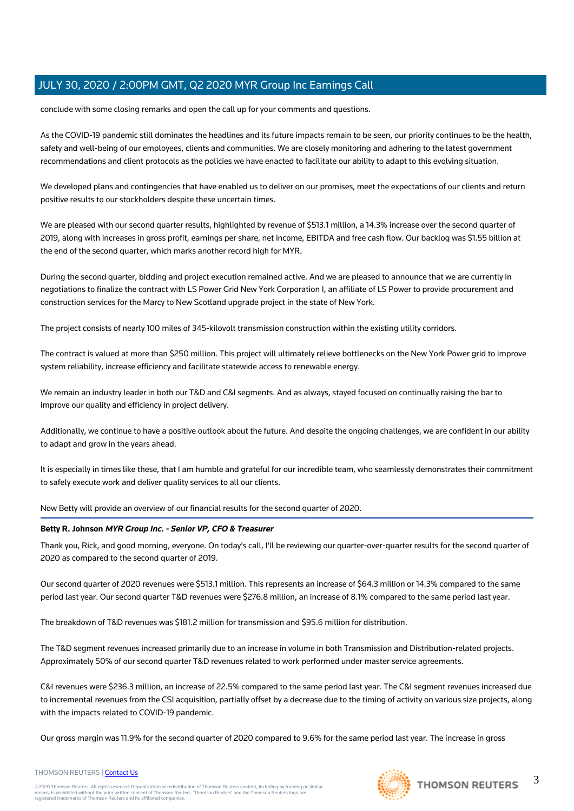conclude with some closing remarks and open the call up for your comments and questions.

As the COVID-19 pandemic still dominates the headlines and its future impacts remain to be seen, our priority continues to be the health, safety and well-being of our employees, clients and communities. We are closely monitoring and adhering to the latest government recommendations and client protocols as the policies we have enacted to facilitate our ability to adapt to this evolving situation.

We developed plans and contingencies that have enabled us to deliver on our promises, meet the expectations of our clients and return positive results to our stockholders despite these uncertain times.

We are pleased with our second quarter results, highlighted by revenue of \$513.1 million, a 14.3% increase over the second quarter of 2019, along with increases in gross profit, earnings per share, net income, EBITDA and free cash flow. Our backlog was \$1.55 billion at the end of the second quarter, which marks another record high for MYR.

During the second quarter, bidding and project execution remained active. And we are pleased to announce that we are currently in negotiations to finalize the contract with LS Power Grid New York Corporation I, an affiliate of LS Power to provide procurement and construction services for the Marcy to New Scotland upgrade project in the state of New York.

The project consists of nearly 100 miles of 345-kilovolt transmission construction within the existing utility corridors.

The contract is valued at more than \$250 million. This project will ultimately relieve bottlenecks on the New York Power grid to improve system reliability, increase efficiency and facilitate statewide access to renewable energy.

We remain an industry leader in both our T&D and C&I segments. And as always, stayed focused on continually raising the bar to improve our quality and efficiency in project delivery.

Additionally, we continue to have a positive outlook about the future. And despite the ongoing challenges, we are confident in our ability to adapt and grow in the years ahead.

It is especially in times like these, that I am humble and grateful for our incredible team, who seamlessly demonstrates their commitment to safely execute work and deliver quality services to all our clients.

Now Betty will provide an overview of our financial results for the second quarter of 2020.

#### **Betty R. Johnson MYR Group Inc. - Senior VP, CFO & Treasurer**

Thank you, Rick, and good morning, everyone. On today's call, I'll be reviewing our quarter-over-quarter results for the second quarter of 2020 as compared to the second quarter of 2019.

Our second quarter of 2020 revenues were \$513.1 million. This represents an increase of \$64.3 million or 14.3% compared to the same period last year. Our second quarter T&D revenues were \$276.8 million, an increase of 8.1% compared to the same period last year.

The breakdown of T&D revenues was \$181.2 million for transmission and \$95.6 million for distribution.

The T&D segment revenues increased primarily due to an increase in volume in both Transmission and Distribution-related projects. Approximately 50% of our second quarter T&D revenues related to work performed under master service agreements.

C&I revenues were \$236.3 million, an increase of 22.5% compared to the same period last year. The C&I segment revenues increased due to incremental revenues from the CSI acquisition, partially offset by a decrease due to the timing of activity on various size projects, along with the impacts related to COVID-19 pandemic.

Our gross margin was 11.9% for the second quarter of 2020 compared to 9.6% for the same period last year. The increase in gross



©2020 Thomson Reuters. All rights reserved. Republication or redistribution of Thomson Reuters content, including by framing or similar<br>means, is prohibited without the prior written consent of Thomson Reuters. 'Thomson Re

3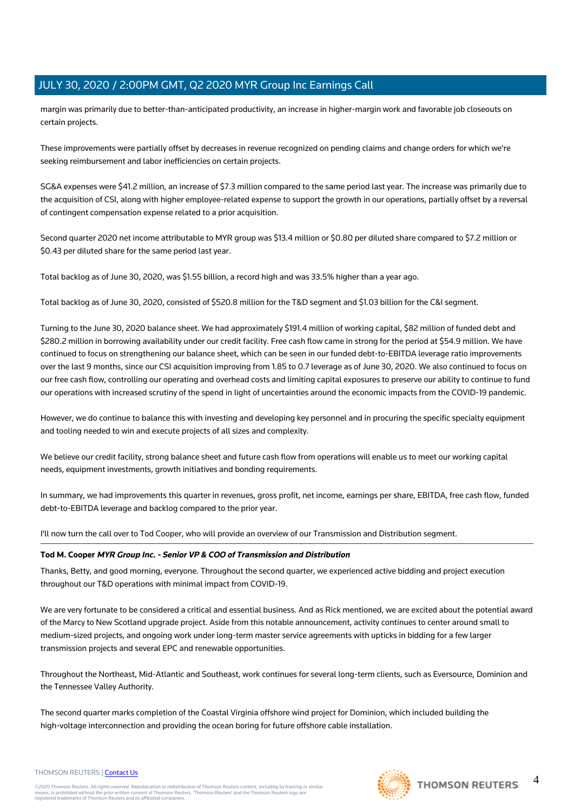margin was primarily due to better-than-anticipated productivity, an increase in higher-margin work and favorable job closeouts on certain projects.

These improvements were partially offset by decreases in revenue recognized on pending claims and change orders for which we're seeking reimbursement and labor inefficiencies on certain projects.

SG&A expenses were \$41.2 million, an increase of \$7.3 million compared to the same period last year. The increase was primarily due to the acquisition of CSI, along with higher employee-related expense to support the growth in our operations, partially offset by a reversal of contingent compensation expense related to a prior acquisition.

Second quarter 2020 net income attributable to MYR group was \$13.4 million or \$0.80 per diluted share compared to \$7.2 million or \$0.43 per diluted share for the same period last year.

Total backlog as of June 30, 2020, was \$1.55 billion, a record high and was 33.5% higher than a year ago.

Total backlog as of June 30, 2020, consisted of \$520.8 million for the T&D segment and \$1.03 billion for the C&I segment.

Turning to the June 30, 2020 balance sheet. We had approximately \$191.4 million of working capital, \$82 million of funded debt and \$280.2 million in borrowing availability under our credit facility. Free cash flow came in strong for the period at \$54.9 million. We have continued to focus on strengthening our balance sheet, which can be seen in our funded debt-to-EBITDA leverage ratio improvements over the last 9 months, since our CSI acquisition improving from 1.85 to 0.7 leverage as of June 30, 2020. We also continued to focus on our free cash flow, controlling our operating and overhead costs and limiting capital exposures to preserve our ability to continue to fund our operations with increased scrutiny of the spend in light of uncertainties around the economic impacts from the COVID-19 pandemic.

However, we do continue to balance this with investing and developing key personnel and in procuring the specific specialty equipment and tooling needed to win and execute projects of all sizes and complexity.

We believe our credit facility, strong balance sheet and future cash flow from operations will enable us to meet our working capital needs, equipment investments, growth initiatives and bonding requirements.

In summary, we had improvements this quarter in revenues, gross profit, net income, earnings per share, EBITDA, free cash flow, funded debt-to-EBITDA leverage and backlog compared to the prior year.

I'll now turn the call over to Tod Cooper, who will provide an overview of our Transmission and Distribution segment.

# **Tod M. Cooper MYR Group Inc. - Senior VP & COO of Transmission and Distribution**

Thanks, Betty, and good morning, everyone. Throughout the second quarter, we experienced active bidding and project execution throughout our T&D operations with minimal impact from COVID-19.

We are very fortunate to be considered a critical and essential business. And as Rick mentioned, we are excited about the potential award of the Marcy to New Scotland upgrade project. Aside from this notable announcement, activity continues to center around small to medium-sized projects, and ongoing work under long-term master service agreements with upticks in bidding for a few larger transmission projects and several EPC and renewable opportunities.

Throughout the Northeast, Mid-Atlantic and Southeast, work continues for several long-term clients, such as Eversource, Dominion and the Tennessee Valley Authority.

The second quarter marks completion of the Coastal Virginia offshore wind project for Dominion, which included building the high-voltage interconnection and providing the ocean boring for future offshore cable installation.

#### THOMSON REUTERS | [Contact Us](https://my.thomsonreuters.com/ContactUsNew)

©2020 Thomson Reuters. All rights reserved. Republication or redistribution of Thomson Reuters content, including by framing or similar<br>means, is prohibited without the prior written consent of Thomson Reuters. 'Thomson Re

 $\Delta$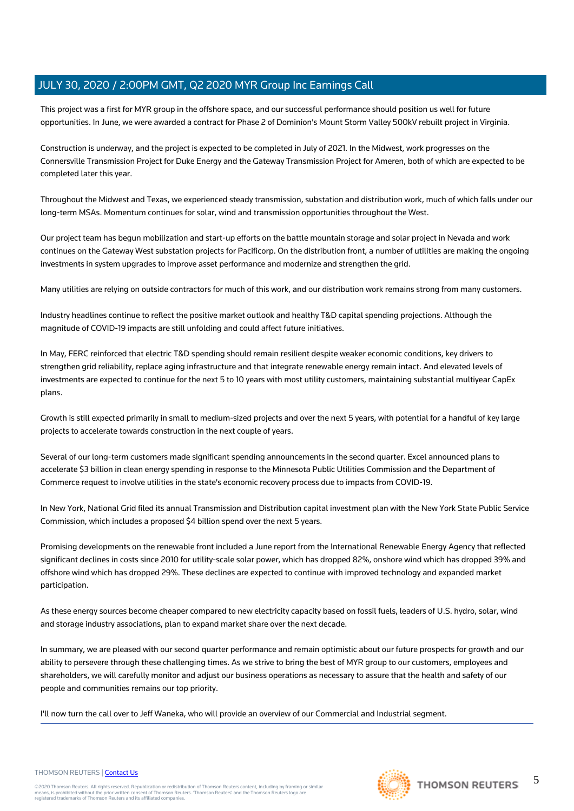This project was a first for MYR group in the offshore space, and our successful performance should position us well for future opportunities. In June, we were awarded a contract for Phase 2 of Dominion's Mount Storm Valley 500kV rebuilt project in Virginia.

Construction is underway, and the project is expected to be completed in July of 2021. In the Midwest, work progresses on the Connersville Transmission Project for Duke Energy and the Gateway Transmission Project for Ameren, both of which are expected to be completed later this year.

Throughout the Midwest and Texas, we experienced steady transmission, substation and distribution work, much of which falls under our long-term MSAs. Momentum continues for solar, wind and transmission opportunities throughout the West.

Our project team has begun mobilization and start-up efforts on the battle mountain storage and solar project in Nevada and work continues on the Gateway West substation projects for Pacificorp. On the distribution front, a number of utilities are making the ongoing investments in system upgrades to improve asset performance and modernize and strengthen the grid.

Many utilities are relying on outside contractors for much of this work, and our distribution work remains strong from many customers.

Industry headlines continue to reflect the positive market outlook and healthy T&D capital spending projections. Although the magnitude of COVID-19 impacts are still unfolding and could affect future initiatives.

In May, FERC reinforced that electric T&D spending should remain resilient despite weaker economic conditions, key drivers to strengthen grid reliability, replace aging infrastructure and that integrate renewable energy remain intact. And elevated levels of investments are expected to continue for the next 5 to 10 years with most utility customers, maintaining substantial multiyear CapEx plans.

Growth is still expected primarily in small to medium-sized projects and over the next 5 years, with potential for a handful of key large projects to accelerate towards construction in the next couple of years.

Several of our long-term customers made significant spending announcements in the second quarter. Excel announced plans to accelerate \$3 billion in clean energy spending in response to the Minnesota Public Utilities Commission and the Department of Commerce request to involve utilities in the state's economic recovery process due to impacts from COVID-19.

In New York, National Grid filed its annual Transmission and Distribution capital investment plan with the New York State Public Service Commission, which includes a proposed \$4 billion spend over the next 5 years.

Promising developments on the renewable front included a June report from the International Renewable Energy Agency that reflected significant declines in costs since 2010 for utility-scale solar power, which has dropped 82%, onshore wind which has dropped 39% and offshore wind which has dropped 29%. These declines are expected to continue with improved technology and expanded market participation.

As these energy sources become cheaper compared to new electricity capacity based on fossil fuels, leaders of U.S. hydro, solar, wind and storage industry associations, plan to expand market share over the next decade.

In summary, we are pleased with our second quarter performance and remain optimistic about our future prospects for growth and our ability to persevere through these challenging times. As we strive to bring the best of MYR group to our customers, employees and shareholders, we will carefully monitor and adjust our business operations as necessary to assure that the health and safety of our people and communities remains our top priority.

I'll now turn the call over to Jeff Waneka, who will provide an overview of our Commercial and Industrial segment.

# THOMSON REUTERS | [Contact Us](https://my.thomsonreuters.com/ContactUsNew)

©2020 Thomson Reuters. All rights reserved. Republication or redistribution of Thomson Reuters content, including by framing or similar<br>means, is prohibited without the prior written consent of Thomson Reuters. 'Thomson Re

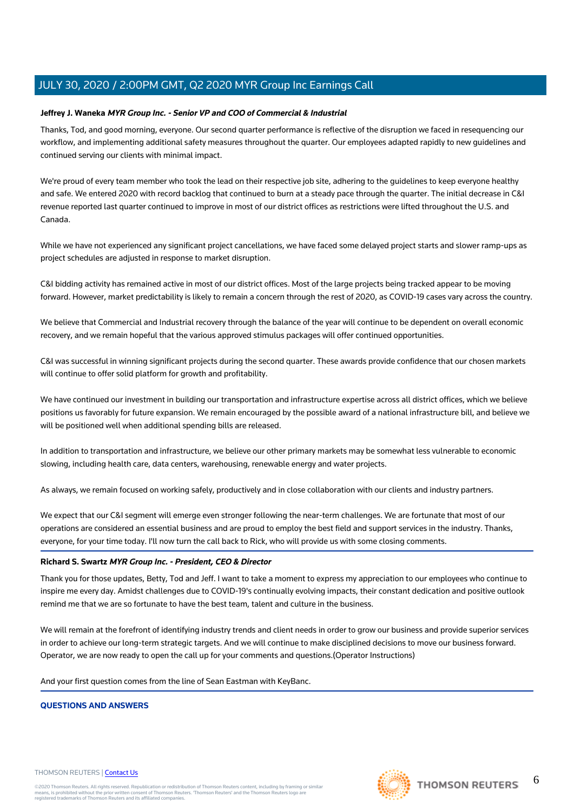# **Jeffrey J. Waneka MYR Group Inc. - Senior VP and COO of Commercial & Industrial**

Thanks, Tod, and good morning, everyone. Our second quarter performance is reflective of the disruption we faced in resequencing our workflow, and implementing additional safety measures throughout the quarter. Our employees adapted rapidly to new guidelines and continued serving our clients with minimal impact.

We're proud of every team member who took the lead on their respective job site, adhering to the guidelines to keep everyone healthy and safe. We entered 2020 with record backlog that continued to burn at a steady pace through the quarter. The initial decrease in C&I revenue reported last quarter continued to improve in most of our district offices as restrictions were lifted throughout the U.S. and Canada.

While we have not experienced any significant project cancellations, we have faced some delayed project starts and slower ramp-ups as project schedules are adjusted in response to market disruption.

C&I bidding activity has remained active in most of our district offices. Most of the large projects being tracked appear to be moving forward. However, market predictability is likely to remain a concern through the rest of 2020, as COVID-19 cases vary across the country.

We believe that Commercial and Industrial recovery through the balance of the year will continue to be dependent on overall economic recovery, and we remain hopeful that the various approved stimulus packages will offer continued opportunities.

C&I was successful in winning significant projects during the second quarter. These awards provide confidence that our chosen markets will continue to offer solid platform for growth and profitability.

We have continued our investment in building our transportation and infrastructure expertise across all district offices, which we believe positions us favorably for future expansion. We remain encouraged by the possible award of a national infrastructure bill, and believe we will be positioned well when additional spending bills are released.

In addition to transportation and infrastructure, we believe our other primary markets may be somewhat less vulnerable to economic slowing, including health care, data centers, warehousing, renewable energy and water projects.

As always, we remain focused on working safely, productively and in close collaboration with our clients and industry partners.

We expect that our C&I segment will emerge even stronger following the near-term challenges. We are fortunate that most of our operations are considered an essential business and are proud to employ the best field and support services in the industry. Thanks, everyone, for your time today. I'll now turn the call back to Rick, who will provide us with some closing comments.

# **Richard S. Swartz MYR Group Inc. - President, CEO & Director**

Thank you for those updates, Betty, Tod and Jeff. I want to take a moment to express my appreciation to our employees who continue to inspire me every day. Amidst challenges due to COVID-19's continually evolving impacts, their constant dedication and positive outlook remind me that we are so fortunate to have the best team, talent and culture in the business.

We will remain at the forefront of identifying industry trends and client needs in order to grow our business and provide superior services in order to achieve our long-term strategic targets. And we will continue to make disciplined decisions to move our business forward. Operator, we are now ready to open the call up for your comments and questions.(Operator Instructions)

And your first question comes from the line of Sean Eastman with KeyBanc.

# **QUESTIONS AND ANSWERS**

#### THOMSON REUTERS | [Contact Us](https://my.thomsonreuters.com/ContactUsNew)

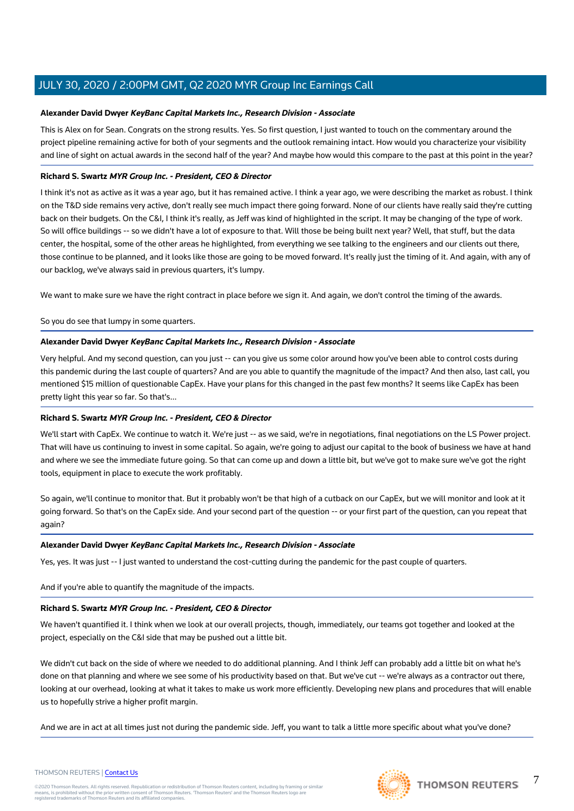# **Alexander David Dwyer KeyBanc Capital Markets Inc., Research Division - Associate**

This is Alex on for Sean. Congrats on the strong results. Yes. So first question, I just wanted to touch on the commentary around the project pipeline remaining active for both of your segments and the outlook remaining intact. How would you characterize your visibility and line of sight on actual awards in the second half of the year? And maybe how would this compare to the past at this point in the year?

# **Richard S. Swartz MYR Group Inc. - President, CEO & Director**

I think it's not as active as it was a year ago, but it has remained active. I think a year ago, we were describing the market as robust. I think on the T&D side remains very active, don't really see much impact there going forward. None of our clients have really said they're cutting back on their budgets. On the C&I, I think it's really, as Jeff was kind of highlighted in the script. It may be changing of the type of work. So will office buildings -- so we didn't have a lot of exposure to that. Will those be being built next year? Well, that stuff, but the data center, the hospital, some of the other areas he highlighted, from everything we see talking to the engineers and our clients out there, those continue to be planned, and it looks like those are going to be moved forward. It's really just the timing of it. And again, with any of our backlog, we've always said in previous quarters, it's lumpy.

We want to make sure we have the right contract in place before we sign it. And again, we don't control the timing of the awards.

So you do see that lumpy in some quarters.

# **Alexander David Dwyer KeyBanc Capital Markets Inc., Research Division - Associate**

Very helpful. And my second question, can you just -- can you give us some color around how you've been able to control costs during this pandemic during the last couple of quarters? And are you able to quantify the magnitude of the impact? And then also, last call, you mentioned \$15 million of questionable CapEx. Have your plans for this changed in the past few months? It seems like CapEx has been pretty light this year so far. So that's...

# **Richard S. Swartz MYR Group Inc. - President, CEO & Director**

We'll start with CapEx. We continue to watch it. We're just -- as we said, we're in negotiations, final negotiations on the LS Power project. That will have us continuing to invest in some capital. So again, we're going to adjust our capital to the book of business we have at hand and where we see the immediate future going. So that can come up and down a little bit, but we've got to make sure we've got the right tools, equipment in place to execute the work profitably.

So again, we'll continue to monitor that. But it probably won't be that high of a cutback on our CapEx, but we will monitor and look at it going forward. So that's on the CapEx side. And your second part of the question -- or your first part of the question, can you repeat that again?

# **Alexander David Dwyer KeyBanc Capital Markets Inc., Research Division - Associate**

Yes, yes. It was just -- I just wanted to understand the cost-cutting during the pandemic for the past couple of quarters.

And if you're able to quantify the magnitude of the impacts.

# **Richard S. Swartz MYR Group Inc. - President, CEO & Director**

We haven't quantified it. I think when we look at our overall projects, though, immediately, our teams got together and looked at the project, especially on the C&I side that may be pushed out a little bit.

We didn't cut back on the side of where we needed to do additional planning. And I think Jeff can probably add a little bit on what he's done on that planning and where we see some of his productivity based on that. But we've cut -- we're always as a contractor out there, looking at our overhead, looking at what it takes to make us work more efficiently. Developing new plans and procedures that will enable us to hopefully strive a higher profit margin.

And we are in act at all times just not during the pandemic side. Jeff, you want to talk a little more specific about what you've done?





7

# THOMSON REUTERS | [Contact Us](https://my.thomsonreuters.com/ContactUsNew)

©2020 Thomson Reuters. All rights reserved. Republication or redistribution of Thomson Reuters content, including by framing or similar<br>means, is prohibited without the prior written consent of Thomson Reuters. 'Thomson Re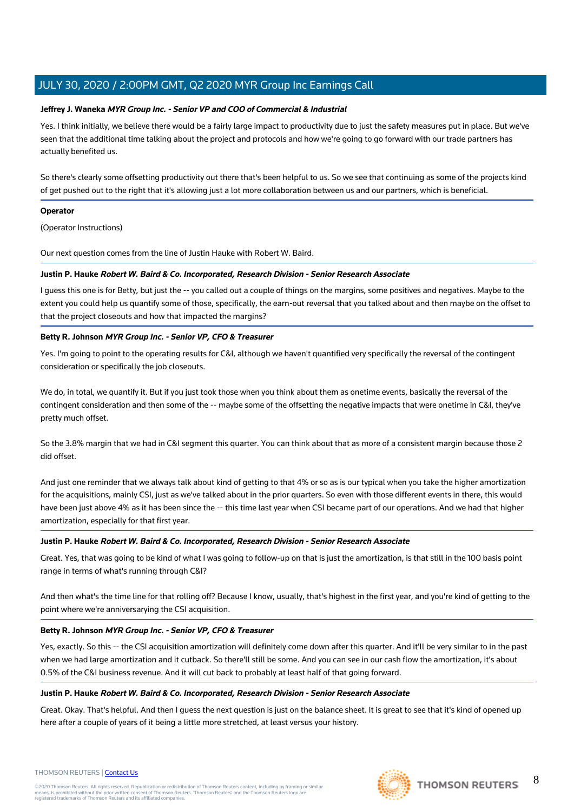# **Jeffrey J. Waneka MYR Group Inc. - Senior VP and COO of Commercial & Industrial**

Yes. I think initially, we believe there would be a fairly large impact to productivity due to just the safety measures put in place. But we've seen that the additional time talking about the project and protocols and how we're going to go forward with our trade partners has actually benefited us.

So there's clearly some offsetting productivity out there that's been helpful to us. So we see that continuing as some of the projects kind of get pushed out to the right that it's allowing just a lot more collaboration between us and our partners, which is beneficial.

# **Operator**

(Operator Instructions)

Our next question comes from the line of Justin Hauke with Robert W. Baird.

# **Justin P. Hauke Robert W. Baird & Co. Incorporated, Research Division - Senior Research Associate**

I guess this one is for Betty, but just the -- you called out a couple of things on the margins, some positives and negatives. Maybe to the extent you could help us quantify some of those, specifically, the earn-out reversal that you talked about and then maybe on the offset to that the project closeouts and how that impacted the margins?

# **Betty R. Johnson MYR Group Inc. - Senior VP, CFO & Treasurer**

Yes. I'm going to point to the operating results for C&I, although we haven't quantified very specifically the reversal of the contingent consideration or specifically the job closeouts.

We do, in total, we quantify it. But if you just took those when you think about them as onetime events, basically the reversal of the contingent consideration and then some of the -- maybe some of the offsetting the negative impacts that were onetime in C&I, they've pretty much offset.

So the 3.8% margin that we had in C&I segment this quarter. You can think about that as more of a consistent margin because those 2 did offset.

And just one reminder that we always talk about kind of getting to that 4% or so as is our typical when you take the higher amortization for the acquisitions, mainly CSI, just as we've talked about in the prior quarters. So even with those different events in there, this would have been just above 4% as it has been since the -- this time last year when CSI became part of our operations. And we had that higher amortization, especially for that first year.

# **Justin P. Hauke Robert W. Baird & Co. Incorporated, Research Division - Senior Research Associate**

Great. Yes, that was going to be kind of what I was going to follow-up on that is just the amortization, is that still in the 100 basis point range in terms of what's running through C&I?

And then what's the time line for that rolling off? Because I know, usually, that's highest in the first year, and you're kind of getting to the point where we're anniversarying the CSI acquisition.

# **Betty R. Johnson MYR Group Inc. - Senior VP, CFO & Treasurer**

Yes, exactly. So this -- the CSI acquisition amortization will definitely come down after this quarter. And it'll be very similar to in the past when we had large amortization and it cutback. So there'll still be some. And you can see in our cash flow the amortization, it's about 0.5% of the C&I business revenue. And it will cut back to probably at least half of that going forward.

# **Justin P. Hauke Robert W. Baird & Co. Incorporated, Research Division - Senior Research Associate**

Great. Okay. That's helpful. And then I guess the next question is just on the balance sheet. It is great to see that it's kind of opened up here after a couple of years of it being a little more stretched, at least versus your history.

#### THOMSON REUTERS | [Contact Us](https://my.thomsonreuters.com/ContactUsNew)

©2020 Thomson Reuters. All rights reserved. Republication or redistribution of Thomson Reuters content, including by framing or similar<br>means, is prohibited without the prior written consent of Thomson Reuters. 'Thomson Re

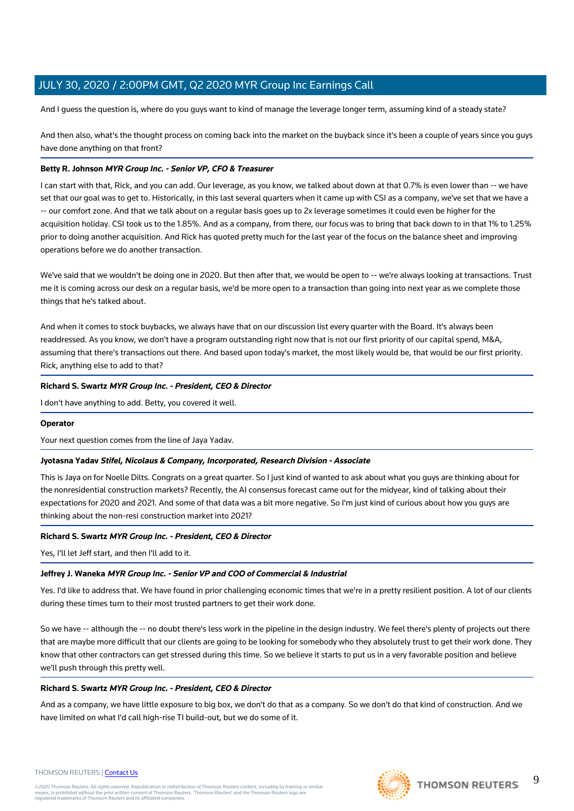And I guess the question is, where do you guys want to kind of manage the leverage longer term, assuming kind of a steady state?

And then also, what's the thought process on coming back into the market on the buyback since it's been a couple of years since you guys have done anything on that front?

# **Betty R. Johnson MYR Group Inc. - Senior VP, CFO & Treasurer**

I can start with that, Rick, and you can add. Our leverage, as you know, we talked about down at that 0.7% is even lower than -- we have set that our goal was to get to. Historically, in this last several quarters when it came up with CSI as a company, we've set that we have a -- our comfort zone. And that we talk about on a regular basis goes up to 2x leverage sometimes it could even be higher for the acquisition holiday. CSI took us to the 1.85%. And as a company, from there, our focus was to bring that back down to in that 1% to 1.25% prior to doing another acquisition. And Rick has quoted pretty much for the last year of the focus on the balance sheet and improving operations before we do another transaction.

We've said that we wouldn't be doing one in 2020. But then after that, we would be open to -- we're always looking at transactions. Trust me it is coming across our desk on a regular basis, we'd be more open to a transaction than going into next year as we complete those things that he's talked about.

And when it comes to stock buybacks, we always have that on our discussion list every quarter with the Board. It's always been readdressed. As you know, we don't have a program outstanding right now that is not our first priority of our capital spend, M&A, assuming that there's transactions out there. And based upon today's market, the most likely would be, that would be our first priority. Rick, anything else to add to that?

# **Richard S. Swartz MYR Group Inc. - President, CEO & Director**

I don't have anything to add. Betty, you covered it well.

# **Operator**

Your next question comes from the line of Jaya Yadav.

# **Jyotasna Yadav Stifel, Nicolaus & Company, Incorporated, Research Division - Associate**

This is Jaya on for Noelle Dilts. Congrats on a great quarter. So I just kind of wanted to ask about what you guys are thinking about for the nonresidential construction markets? Recently, the AI consensus forecast came out for the midyear, kind of talking about their expectations for 2020 and 2021. And some of that data was a bit more negative. So I'm just kind of curious about how you guys are thinking about the non-resi construction market into 2021?

# **Richard S. Swartz MYR Group Inc. - President, CEO & Director**

Yes, I'll let Jeff start, and then I'll add to it.

# **Jeffrey J. Waneka MYR Group Inc. - Senior VP and COO of Commercial & Industrial**

Yes. I'd like to address that. We have found in prior challenging economic times that we're in a pretty resilient position. A lot of our clients during these times turn to their most trusted partners to get their work done.

So we have -- although the -- no doubt there's less work in the pipeline in the design industry. We feel there's plenty of projects out there that are maybe more difficult that our clients are going to be looking for somebody who they absolutely trust to get their work done. They know that other contractors can get stressed during this time. So we believe it starts to put us in a very favorable position and believe we'll push through this pretty well.

# **Richard S. Swartz MYR Group Inc. - President, CEO & Director**

And as a company, we have little exposure to big box, we don't do that as a company. So we don't do that kind of construction. And we have limited on what I'd call high-rise TI build-out, but we do some of it.



#### THOMSON REUTERS | [Contact Us](https://my.thomsonreuters.com/ContactUsNew)

©2020 Thomson Reuters. All rights reserved. Republication or redistribution of Thomson Reuters content, including by framing or similar<br>means, is prohibited without the prior written consent of Thomson Reuters. 'Thomson Re

9